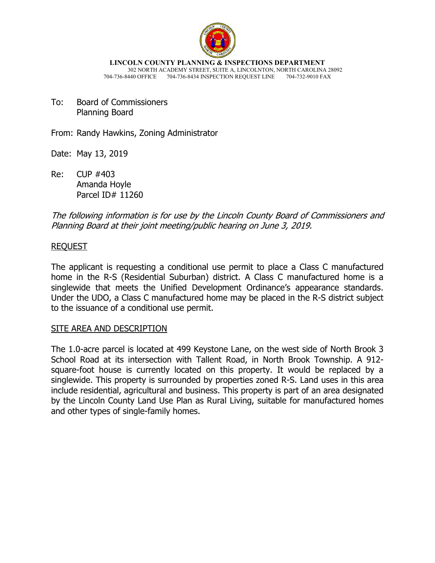

**LINCOLN COUNTY PLANNING & INSPECTIONS DEPARTMENT** 302 NORTH ACADEMY STREET, SUITE A, LINCOLNTON, NORTH CAROLINA 28092 704-736-8440 OFFICE 704-736-8434 INSPECTION REQUEST LINE 704-732-9010 FAX

To: Board of Commissioners Planning Board

From: Randy Hawkins, Zoning Administrator

Date: May 13, 2019

Re: CUP #403 Amanda Hoyle Parcel ID# 11260

The following information is for use by the Lincoln County Board of Commissioners and Planning Board at their joint meeting/public hearing on June 3, 2019.

#### REQUEST

The applicant is requesting a conditional use permit to place a Class C manufactured home in the R-S (Residential Suburban) district. A Class C manufactured home is a singlewide that meets the Unified Development Ordinance's appearance standards. Under the UDO, a Class C manufactured home may be placed in the R-S district subject to the issuance of a conditional use permit.

#### SITE AREA AND DESCRIPTION

The 1.0-acre parcel is located at 499 Keystone Lane, on the west side of North Brook 3 School Road at its intersection with Tallent Road, in North Brook Township. A 912 square-foot house is currently located on this property. It would be replaced by a singlewide. This property is surrounded by properties zoned R-S. Land uses in this area include residential, agricultural and business. This property is part of an area designated by the Lincoln County Land Use Plan as Rural Living, suitable for manufactured homes and other types of single-family homes.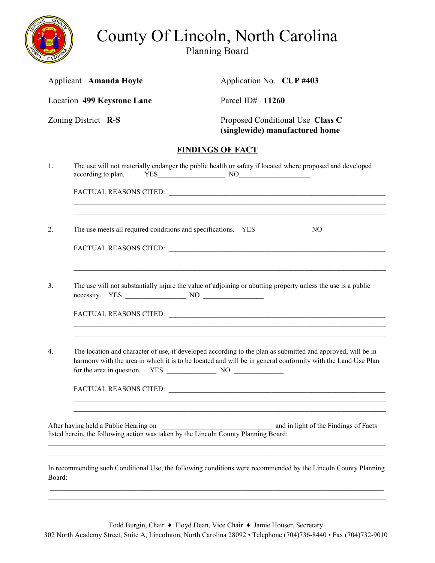

# County Of Lincoln, North Carolina

Planning Board

| Applicant Amanda Hoyle            |                                                                                                                                                                       | Application No. CUP #403                                                                                                                                                                                                   |
|-----------------------------------|-----------------------------------------------------------------------------------------------------------------------------------------------------------------------|----------------------------------------------------------------------------------------------------------------------------------------------------------------------------------------------------------------------------|
| <b>Location 499 Keystone Lane</b> |                                                                                                                                                                       | Parcel ID# 11260                                                                                                                                                                                                           |
| Zoning District R-S               |                                                                                                                                                                       | Proposed Conditional Use Class C<br>(singlewide) manufactured home                                                                                                                                                         |
|                                   |                                                                                                                                                                       | <b>FINDINGS OF FACT</b>                                                                                                                                                                                                    |
| 1.                                | according to plan.                                                                                                                                                    | The use will not materially endanger the public health or safety if located where proposed and developed<br>$YES$ NO $NOS$                                                                                                 |
|                                   |                                                                                                                                                                       | FACTUAL REASONS CITED:                                                                                                                                                                                                     |
| 2.                                |                                                                                                                                                                       |                                                                                                                                                                                                                            |
|                                   |                                                                                                                                                                       | ,我们也不能在这里的时候,我们也不能在这里的时候,我们也不能在这里的时候,我们也不能会不能在这里的时候,我们也不能会不能会不能会不能会不能会不能会不能会不能会不                                                                                                                                           |
| 3.                                |                                                                                                                                                                       | The use will not substantially injure the value of adjoining or abutting property unless the use is a public                                                                                                               |
|                                   |                                                                                                                                                                       | FACTUAL REASONS CITED:                                                                                                                                                                                                     |
| 4.                                |                                                                                                                                                                       | The location and character of use, if developed according to the plan as submitted and approved, will be in<br>harmony with the area in which it is to be located and will be in general conformity with the Land Use Plan |
|                                   |                                                                                                                                                                       |                                                                                                                                                                                                                            |
|                                   | After having held a Public Hearing on<br>After having held a Public Hearing on<br>listed herein, the following action was taken by the Lincoln County Planning Board: | and in light of the Findings of Facts                                                                                                                                                                                      |
| Board:                            |                                                                                                                                                                       | In recommending such Conditional Use, the following conditions were recommended by the Lincoln County Planning                                                                                                             |
|                                   |                                                                                                                                                                       |                                                                                                                                                                                                                            |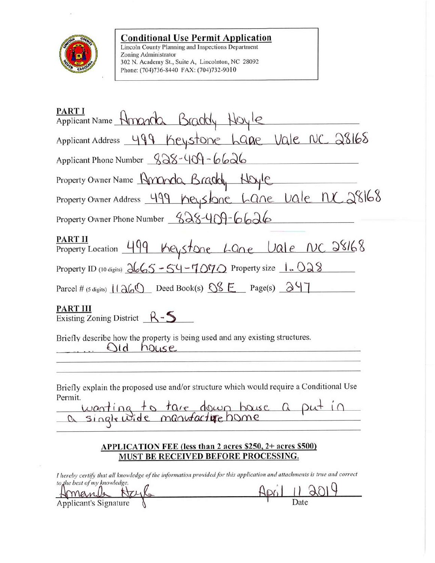

## **Conditional Use Permit Application**

Lincoln County Planning and Inspections Department Zoning Administrator 302 N. Academy St., Suite A, Lincolnton, NC 28092 Phone: (704)736-8440 FAX: (704)732-9010

| PART I<br>Applicant Name Honorda Braddy Hoyle                                                                                                    |  |  |
|--------------------------------------------------------------------------------------------------------------------------------------------------|--|--|
| Applicant Address 499 Keystone Lane Vale NC 28168                                                                                                |  |  |
| Applicant Phone Number $888 - 409 - 6626$                                                                                                        |  |  |
| Property Owner Name Amanda Braddy Hoyle                                                                                                          |  |  |
| Property Owner Address 499 Keyslane Lane Vale NC 28168                                                                                           |  |  |
| Property Owner Phone Number _S28-409-6626                                                                                                        |  |  |
| PART II<br>Property Location 499 Keystone Lane Vale NC 28168                                                                                     |  |  |
| Property ID (10 digits) $\frac{\partial G}{\partial 5}$ - 54 - 7070 Property size $1.028$                                                        |  |  |
| Parcel # (5 digits) $\frac{11}{26}$ Deed Book(s) $\frac{0.8}{0.8}$ Page(s) $\frac{0.9}{0.9}$                                                     |  |  |
| PART III<br>Existing Zoning District $R-S$                                                                                                       |  |  |
| Briefly describe how the property is being used and any existing structures.<br>old<br>house<br>the company of the second company of the company |  |  |
| Briefly explain the proposed use and/or structure which would require a Conditional Use<br>Permit.<br>wanting to tare down house a put in        |  |  |
| $1.131717$ d at $2.53780$ d $3.53780$                                                                                                            |  |  |

## **APPLICATION FEE (less than 2 acres \$250, 2+ acres \$500)** MUST BE RECEIVED BEFORE PROCESSING.

I hereby certify that all knowledge of the information provided for this application and attachments is true and correct to the best of my knowledge.

 $2019$  $ApiI$ Date Applicant's Signature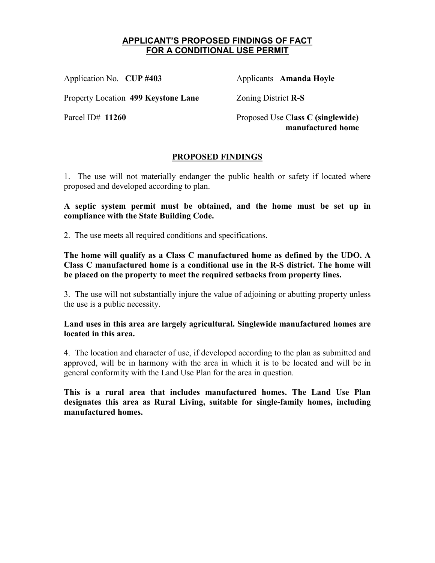#### **APPLICANT'S PROPOSED FINDINGS OF FACT FOR A CONDITIONAL USE PERMIT**

Application No. **CUP #403** Applicants **Amanda Hoyle** 

Property Location 499 Keystone Lane **Zoning District R-S** 

Parcel ID# **11260** Proposed Use C**lass C (singlewide) manufactured home**

## **PROPOSED FINDINGS**

1. The use will not materially endanger the public health or safety if located where proposed and developed according to plan.

**A septic system permit must be obtained, and the home must be set up in compliance with the State Building Code.** 

2. The use meets all required conditions and specifications.

**The home will qualify as a Class C manufactured home as defined by the UDO. A Class C manufactured home is a conditional use in the R-S district. The home will be placed on the property to meet the required setbacks from property lines.** 

3. The use will not substantially injure the value of adjoining or abutting property unless the use is a public necessity.

**Land uses in this area are largely agricultural. Singlewide manufactured homes are located in this area.** 

4. The location and character of use, if developed according to the plan as submitted and approved, will be in harmony with the area in which it is to be located and will be in general conformity with the Land Use Plan for the area in question.

**This is a rural area that includes manufactured homes. The Land Use Plan designates this area as Rural Living, suitable for single-family homes, including manufactured homes.**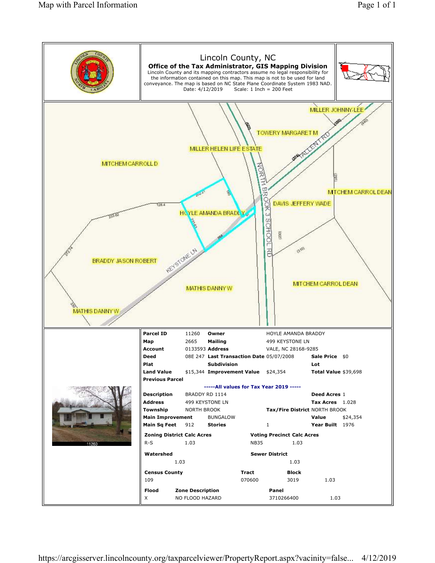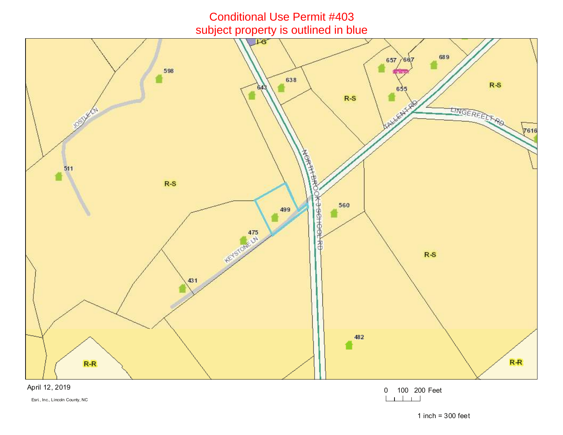

April 12, 2019

Esri., Inc., Lincoln County, NC

0 100 200 Feet